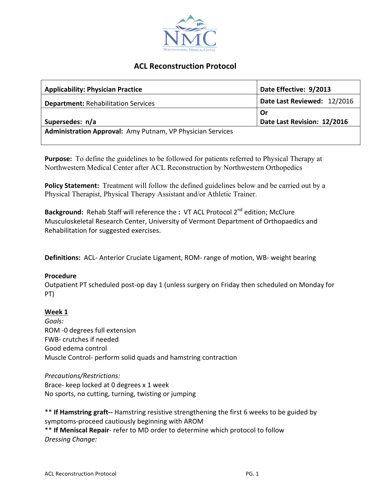

# **ACL Reconstruction Protocol**

| <b>Applicability: Physician Practice</b>                   | Date Effective: 9/2013      |
|------------------------------------------------------------|-----------------------------|
| <b>Department: Rehabilitation Services</b>                 | Date Last Reviewed: 12/2016 |
|                                                            | Or                          |
| Supersedes: n/a                                            | Date Last Revision: 12/2016 |
| Administration Approval: Amy Putnam, VP Physician Services |                             |

**Purpose:** To define the guidelines to be followed for patients referred to Physical Therapy at Northwestern Medical Center after ACL Reconstruction by Northwestern Orthopedics

**Policy Statement:** Treatment will follow the defined guidelines below and be carried out by a Physical Therapist, Physical Therapy Assistant and/or Athletic Trainer.

**Background:** Rehab Staff will reference the : VT ACL Protocol 2<sup>nd</sup> edition; McClure Musculoskeletal Research Center, University of Vermont Department of Orthopaedics and Rehabilitation for suggested exercises.

**Definitions:** ACL- Anterior Cruciate Ligament, ROM- range of motion, WB- weight bearing

# **Procedure**

Outpatient PT scheduled post-op day 1 (unless surgery on Friday then scheduled on Monday for PT)

# **Week 1**

*Goals:* ROM -0 degrees full extension FWB- crutches if needed Good edema control Muscle Control- perform solid quads and hamstring contraction

*Precautions/Restrictions:* Brace- keep locked at 0 degrees x 1 week No sports, no cutting, turning, twisting or jumping

\*\* If Hamstring graft-- Hamstring resistive strengthening the first 6 weeks to be guided by symptoms-proceed cautiously beginning with AROM \*\* If Meniscal Repair- refer to MD order to determine which protocol to follow *Dressing Change:*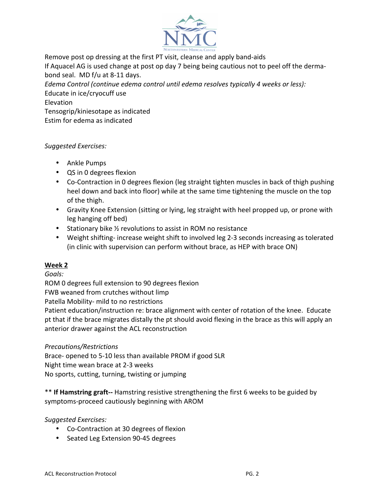

Remove post op dressing at the first PT visit, cleanse and apply band-aids

If Aquacel AG is used change at post op day 7 being being cautious not to peel off the dermabond seal. MD f/u at 8-11 days.

*Edema Control (continue edema control until edema resolves typically 4 weeks or less):* Educate in ice/cryocuff use Elevation

Tensogrip/kiniesotape as indicated Estim for edema as indicated

# *Suggested Exercises:*

- Ankle Pumps
- QS in 0 degrees flexion
- Co-Contraction in 0 degrees flexion (leg straight tighten muscles in back of thigh pushing heel down and back into floor) while at the same time tightening the muscle on the top of the thigh.
- Gravity Knee Extension (sitting or lying, leg straight with heel propped up, or prone with leg hanging off bed)
- Stationary bike 1/2 revolutions to assist in ROM no resistance
- Weight shifting- increase weight shift to involved leg 2-3 seconds increasing as tolerated (in clinic with supervision can perform without brace, as HEP with brace ON)

# **Week 2**

*Goals:*

ROM 0 degrees full extension to 90 degrees flexion

FWB weaned from crutches without limp

Patella Mobility- mild to no restrictions

Patient education/instruction re: brace alignment with center of rotation of the knee. Educate pt that if the brace migrates distally the pt should avoid flexing in the brace as this will apply an anterior drawer against the ACL reconstruction

#### *Precautions/Restrictions*

Brace- opened to 5-10 less than available PROM if good SLR Night time wean brace at 2-3 weeks No sports, cutting, turning, twisting or jumping

\*\* **If Hamstring graft--** Hamstring resistive strengthening the first 6 weeks to be guided by symptoms-proceed cautiously beginning with AROM

*Suggested Exercises:*

- Co-Contraction at 30 degrees of flexion
- Seated Leg Extension 90-45 degrees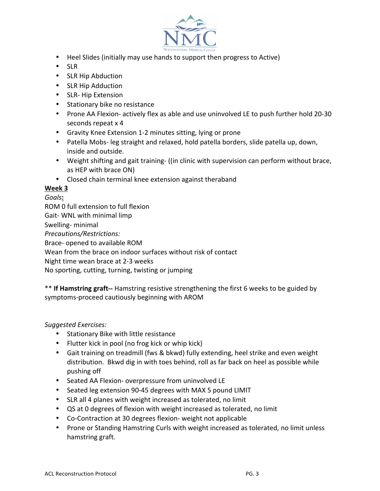

- Heel Slides (initially may use hands to support then progress to Active)
- SLR
- SLR Hip Abduction
- SLR Hip Adduction
- SLR- Hip Extension
- Stationary bike no resistance
- Prone AA Flexion- actively flex as able and use uninvolved LE to push further hold 20-30 seconds repeat x 4
- Gravity Knee Extension 1-2 minutes sitting, lying or prone
- Patella Mobs- leg straight and relaxed, hold patella borders, slide patella up, down, inside and outside.
- Weight shifting and gait training- ((in clinic with supervision can perform without brace, as HEP with brace ON)
- Closed chain terminal knee extension against theraband

### **Week 3**

*Goals***:** ROM 0 full extension to full flexion Gait- WNL with minimal limp Swelling- minimal *Precautions/Restrictions:* Brace- opened to available ROM Wean from the brace on indoor surfaces without risk of contact Night time wean brace at 2-3 weeks No sporting, cutting, turning, twisting or jumping

\*\* **If Hamstring graft--** Hamstring resistive strengthening the first 6 weeks to be guided by symptoms-proceed cautiously beginning with AROM

#### *Suggested Exercises:*

- Stationary Bike with little resistance
- Flutter kick in pool (no frog kick or whip kick)
- Gait training on treadmill (fws & bkwd) fully extending, heel strike and even weight distribution. Bkwd dig in with toes behind, roll as far back on heel as possible while pushing off
- Seated AA Flexion- overpressure from uninvolved LE
- Seated leg extension 90-45 degrees with MAX 5 pound LIMIT
- SLR all 4 planes with weight increased as tolerated, no limit
- QS at 0 degrees of flexion with weight increased as tolerated, no limit
- Co-Contraction at 30 degrees flexion- weight not applicable
- Prone or Standing Hamstring Curls with weight increased as tolerated, no limit unless hamstring graft.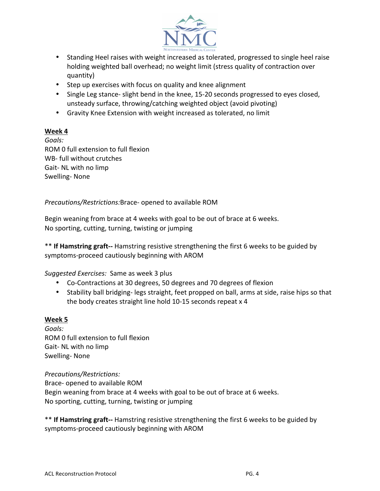

- Standing Heel raises with weight increased as tolerated, progressed to single heel raise holding weighted ball overhead; no weight limit (stress quality of contraction over quantity)
- Step up exercises with focus on quality and knee alignment
- Single Leg stance- slight bend in the knee, 15-20 seconds progressed to eyes closed, unsteady surface, throwing/catching weighted object (avoid pivoting)
- Gravity Knee Extension with weight increased as tolerated, no limit

# **Week 4**

*Goals:* ROM 0 full extension to full flexion WB- full without crutches Gait- NL with no limp Swelling- None

*Precautions/Restrictions:Brace-* opened to available ROM

Begin weaning from brace at 4 weeks with goal to be out of brace at 6 weeks. No sporting, cutting, turning, twisting or jumping

\*\* **If Hamstring graft--** Hamstring resistive strengthening the first 6 weeks to be guided by symptoms-proceed cautiously beginning with AROM

*Suggested Exercises:* Same as week 3 plus

- Co-Contractions at 30 degrees, 50 degrees and 70 degrees of flexion
- Stability ball bridging- legs straight, feet propped on ball, arms at side, raise hips so that the body creates straight line hold  $10-15$  seconds repeat  $x$  4

#### **Week 5**

*Goals:* ROM 0 full extension to full flexion Gait- NL with no limp Swelling- None

*Precautions/Restrictions:* Brace- opened to available ROM Begin weaning from brace at 4 weeks with goal to be out of brace at 6 weeks. No sporting, cutting, turning, twisting or jumping

\*\* **If Hamstring graft--** Hamstring resistive strengthening the first 6 weeks to be guided by symptoms-proceed cautiously beginning with AROM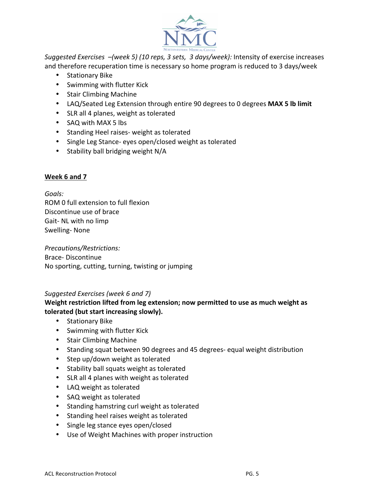

*Suggested Exercises*  $-($ *week 5)* (10 *reps, 3 sets, 3 days/week):* Intensity of exercise increases and therefore recuperation time is necessary so home program is reduced to 3 days/week

- Stationary Bike
- Swimming with flutter Kick
- Stair Climbing Machine
- LAQ/Seated Leg Extension through entire 90 degrees to 0 degrees MAX 5 lb limit
- SLR all 4 planes, weight as tolerated
- SAQ with MAX 5 lbs
- Standing Heel raises- weight as tolerated
- Single Leg Stance- eyes open/closed weight as tolerated
- Stability ball bridging weight N/A

### **Week 6 and 7**

*Goals:* ROM 0 full extension to full flexion Discontinue use of brace Gait- NL with no limp Swelling- None

*Precautions/Restrictions:* Brace- Discontinue No sporting, cutting, turning, twisting or jumping

# *Suggested Exercises (week 6 and 7)*

# **Weight restriction lifted from leg extension; now permitted to use as much weight as tolerated (but start increasing slowly).**

- Stationary Bike
- Swimming with flutter Kick
- Stair Climbing Machine
- Standing squat between 90 degrees and 45 degrees- equal weight distribution
- Step up/down weight as tolerated
- Stability ball squats weight as tolerated
- SLR all 4 planes with weight as tolerated
- LAQ weight as tolerated
- SAQ weight as tolerated
- Standing hamstring curl weight as tolerated
- Standing heel raises weight as tolerated
- Single leg stance eyes open/closed
- Use of Weight Machines with proper instruction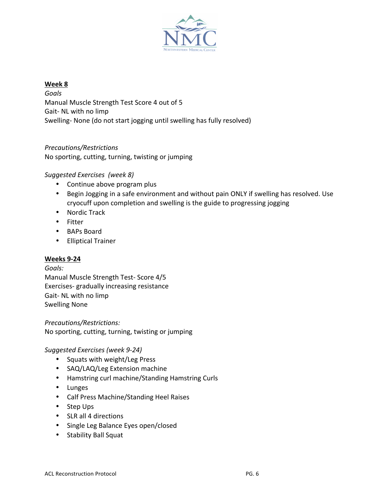

#### **Week 8**

*Goals* Manual Muscle Strength Test Score 4 out of 5 Gait- NL with no limp Swelling- None (do not start jogging until swelling has fully resolved)

*Precautions/Restrictions* No sporting, cutting, turning, twisting or jumping

# *Suggested Exercises (week 8)*

- Continue above program plus
- Begin Jogging in a safe environment and without pain ONLY if swelling has resolved. Use cryocuff upon completion and swelling is the guide to progressing jogging
- Nordic Track
- Fitter
- BAPs Board
- Elliptical Trainer

#### **Weeks 9-24**

#### *Goals:*

Manual Muscle Strength Test- Score 4/5 Exercises- gradually increasing resistance Gait- NL with no limp Swelling None

*Precautions/Restrictions:* No sporting, cutting, turning, twisting or jumping

#### *Suggested Exercises (week 9-24)*

- Squats with weight/Leg Press
- SAQ/LAQ/Leg Extension machine
- Hamstring curl machine/Standing Hamstring Curls
- Lunges
- Calf Press Machine/Standing Heel Raises
- Step Ups
- SLR all 4 directions
- Single Leg Balance Eyes open/closed
- Stability Ball Squat